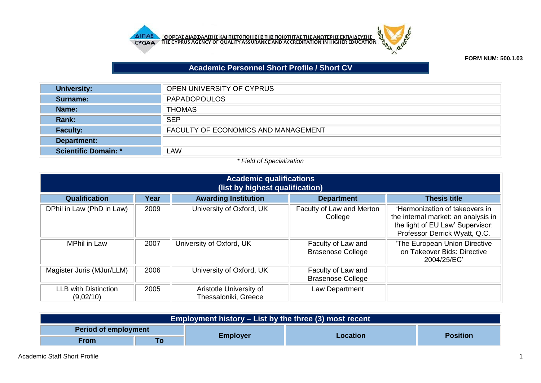



## **Academic Personnel Short Profile / Short CV**

| <b>University:</b>          | OPEN UNIVERSITY OF CYPRUS                  |
|-----------------------------|--------------------------------------------|
| Surname:                    | <b>PAPADOPOULOS</b>                        |
| Name:                       | <b>THOMAS</b>                              |
| Rank:                       | <b>SEP</b>                                 |
| <b>Faculty:</b>             | <b>FACULTY OF ECONOMICS AND MANAGEMENT</b> |
| Department:                 |                                            |
| <b>Scientific Domain: *</b> | <b>LAW</b>                                 |

## *\* Field of Specialization*

| <b>Academic qualifications</b><br>(list by highest qualification) |      |                                                 |                                                |                                                                                                                                            |  |  |
|-------------------------------------------------------------------|------|-------------------------------------------------|------------------------------------------------|--------------------------------------------------------------------------------------------------------------------------------------------|--|--|
| <b>Qualification</b>                                              | Year | <b>Awarding Institution</b>                     | <b>Department</b>                              | <b>Thesis title</b>                                                                                                                        |  |  |
| DPhil in Law (PhD in Law)                                         | 2009 | University of Oxford, UK                        | Faculty of Law and Merton<br>College           | 'Harmonization of takeovers in<br>the internal market: an analysis in<br>the light of EU Law' Supervisor:<br>Professor Derrick Wyatt, Q.C. |  |  |
| <b>MPhil in Law</b>                                               | 2007 | University of Oxford, UK                        | Faculty of Law and<br><b>Brasenose College</b> | 'The European Union Directive<br>on Takeover Bids: Directive<br>2004/25/EC'                                                                |  |  |
| Magister Juris (MJur/LLM)                                         | 2006 | University of Oxford, UK                        | Faculty of Law and<br><b>Brasenose College</b> |                                                                                                                                            |  |  |
| <b>LLB with Distinction</b><br>(9,02/10)                          | 2005 | Aristotle University of<br>Thessaloniki, Greece | Law Department                                 |                                                                                                                                            |  |  |

| Employment history – List by the three (3) most recent |  |                 |          |                 |
|--------------------------------------------------------|--|-----------------|----------|-----------------|
| <b>Period of employment</b>                            |  |                 |          |                 |
| <b>From</b>                                            |  | <b>Employer</b> | Location | <b>Position</b> |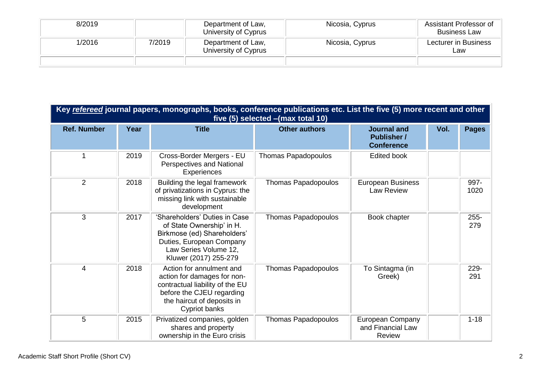| 8/2019 |        | Department of Law,<br>University of Cyprus | Nicosia, Cyprus | Assistant Professor of<br><b>Business Law</b> |
|--------|--------|--------------------------------------------|-----------------|-----------------------------------------------|
| 1/2016 | 7/2019 | Department of Law,<br>University of Cyprus | Nicosia, Cyprus | Lecturer in Business<br>Law                   |
|        |        |                                            |                 |                                               |

| Key refereed journal papers, monographs, books, conference publications etc. List the five (5) more recent and other<br>five (5) selected - (max total 10) |      |                                                                                                                                                                         |                            |                                                               |      |                |
|------------------------------------------------------------------------------------------------------------------------------------------------------------|------|-------------------------------------------------------------------------------------------------------------------------------------------------------------------------|----------------------------|---------------------------------------------------------------|------|----------------|
| <b>Ref. Number</b>                                                                                                                                         | Year | <b>Title</b>                                                                                                                                                            | <b>Other authors</b>       | <b>Journal and</b><br><b>Publisher /</b><br><b>Conference</b> | Vol. | <b>Pages</b>   |
| 1                                                                                                                                                          | 2019 | Cross-Border Mergers - EU<br>Perspectives and National<br>Experiences                                                                                                   | Thomas Papadopoulos        | <b>Edited book</b>                                            |      |                |
| 2                                                                                                                                                          | 2018 | Building the legal framework<br>of privatizations in Cyprus: the<br>missing link with sustainable<br>development                                                        | <b>Thomas Papadopoulos</b> | <b>European Business</b><br>Law Review                        |      | 997-<br>1020   |
| 3                                                                                                                                                          | 2017 | 'Shareholders' Duties in Case<br>of State Ownership' in H.<br>Birkmose (ed) Shareholders'<br>Duties, European Company<br>Law Series Volume 12,<br>Kluwer (2017) 255-279 | <b>Thomas Papadopoulos</b> | Book chapter                                                  |      | $255 -$<br>279 |
| 4                                                                                                                                                          | 2018 | Action for annulment and<br>action for damages for non-<br>contractual liability of the EU<br>before the CJEU regarding<br>the haircut of deposits in<br>Cypriot banks  | <b>Thomas Papadopoulos</b> | To Sintagma (in<br>Greek)                                     |      | 229-<br>291    |
| 5                                                                                                                                                          | 2015 | Privatized companies, golden<br>shares and property<br>ownership in the Euro crisis                                                                                     | <b>Thomas Papadopoulos</b> | European Company<br>and Financial Law<br><b>Review</b>        |      | $1 - 18$       |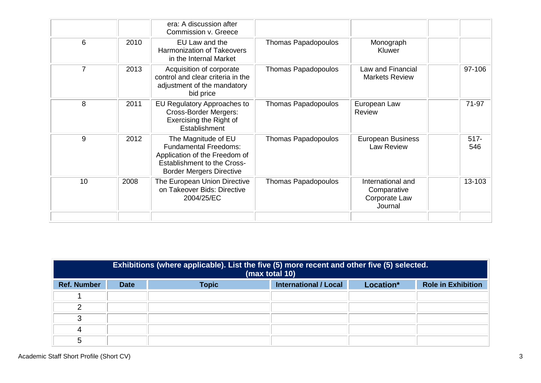|                |      | era: A discussion after<br>Commission v. Greece                                                                                                               |                            |                                                              |                |
|----------------|------|---------------------------------------------------------------------------------------------------------------------------------------------------------------|----------------------------|--------------------------------------------------------------|----------------|
| 6              | 2010 | EU Law and the<br><b>Harmonization of Takeovers</b><br>in the Internal Market                                                                                 | Thomas Papadopoulos        | Monograph<br>Kluwer                                          |                |
| $\overline{7}$ | 2013 | Acquisition of corporate<br>control and clear criteria in the<br>adjustment of the mandatory<br>bid price                                                     | Thomas Papadopoulos        | <b>Law and Financial</b><br><b>Markets Review</b>            | 97-106         |
| 8              | 2011 | EU Regulatory Approaches to<br><b>Cross-Border Mergers:</b><br>Exercising the Right of<br>Establishment                                                       | Thomas Papadopoulos        | European Law<br>Review                                       | 71-97          |
| 9              | 2012 | The Magnitude of EU<br><b>Fundamental Freedoms:</b><br>Application of the Freedom of<br><b>Establishment to the Cross-</b><br><b>Border Mergers Directive</b> | <b>Thomas Papadopoulos</b> | <b>European Business</b><br><b>Law Review</b>                | $517 -$<br>546 |
| 10             | 2008 | The European Union Directive<br>on Takeover Bids: Directive<br>2004/25/EC                                                                                     | <b>Thomas Papadopoulos</b> | International and<br>Comparative<br>Corporate Law<br>Journal | 13-103         |
|                |      |                                                                                                                                                               |                            |                                                              |                |

|                    | Exhibitions (where applicable). List the five (5) more recent and other five (5) selected.<br>(max total 10) |              |                              |           |                           |
|--------------------|--------------------------------------------------------------------------------------------------------------|--------------|------------------------------|-----------|---------------------------|
| <b>Ref. Number</b> | <b>Date</b>                                                                                                  | <b>Topic</b> | <b>International / Local</b> | Location* | <b>Role in Exhibition</b> |
|                    |                                                                                                              |              |                              |           |                           |
| ⌒                  |                                                                                                              |              |                              |           |                           |
| ◠                  |                                                                                                              |              |                              |           |                           |
| 4                  |                                                                                                              |              |                              |           |                           |
| 5                  |                                                                                                              |              |                              |           |                           |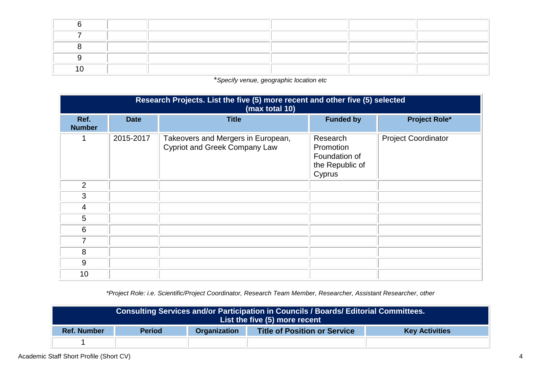\**Specify venue, geographic location etc*

| Research Projects. List the five (5) more recent and other five (5) selected<br>(max total 10) |             |                                                                            |                                                                     |                            |  |  |  |
|------------------------------------------------------------------------------------------------|-------------|----------------------------------------------------------------------------|---------------------------------------------------------------------|----------------------------|--|--|--|
| Ref.<br><b>Number</b>                                                                          | <b>Date</b> | <b>Title</b>                                                               | <b>Funded by</b>                                                    | <b>Project Role*</b>       |  |  |  |
| 1                                                                                              | 2015-2017   | Takeovers and Mergers in European,<br><b>Cypriot and Greek Company Law</b> | Research<br>Promotion<br>Foundation of<br>the Republic of<br>Cyprus | <b>Project Coordinator</b> |  |  |  |
| 2                                                                                              |             |                                                                            |                                                                     |                            |  |  |  |
| 3                                                                                              |             |                                                                            |                                                                     |                            |  |  |  |
| $\overline{4}$                                                                                 |             |                                                                            |                                                                     |                            |  |  |  |
| 5                                                                                              |             |                                                                            |                                                                     |                            |  |  |  |
| 6                                                                                              |             |                                                                            |                                                                     |                            |  |  |  |
| 7                                                                                              |             |                                                                            |                                                                     |                            |  |  |  |
| 8                                                                                              |             |                                                                            |                                                                     |                            |  |  |  |
| 9                                                                                              |             |                                                                            |                                                                     |                            |  |  |  |
| 10                                                                                             |             |                                                                            |                                                                     |                            |  |  |  |

*\*Project Role: i.e. Scientific/Project Coordinator, Research Team Member, Researcher, Assistant Researcher, other*

| Consulting Services and/or Participation in Councils / Boards/ Editorial Committees.<br>List the five (5) more recent |               |                     |                                     |                       |
|-----------------------------------------------------------------------------------------------------------------------|---------------|---------------------|-------------------------------------|-----------------------|
| <b>Ref. Number</b>                                                                                                    | <b>Period</b> | <b>Organization</b> | <b>Title of Position or Service</b> | <b>Key Activities</b> |
|                                                                                                                       |               |                     |                                     |                       |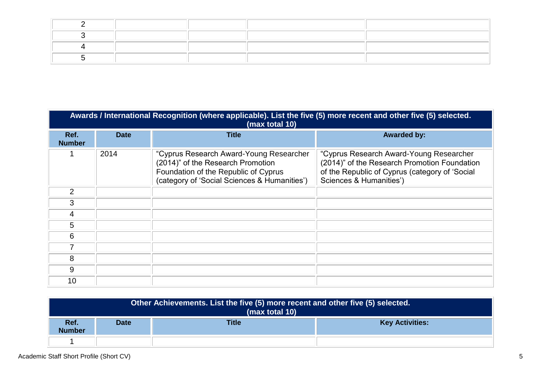|                       | Awards / International Recognition (where applicable). List the five (5) more recent and other five (5) selected.<br>(max total 10) |                                                                                                                                                                      |                                                                                                                                                                      |  |  |  |
|-----------------------|-------------------------------------------------------------------------------------------------------------------------------------|----------------------------------------------------------------------------------------------------------------------------------------------------------------------|----------------------------------------------------------------------------------------------------------------------------------------------------------------------|--|--|--|
| Ref.<br><b>Number</b> | <b>Date</b>                                                                                                                         | <b>Title</b>                                                                                                                                                         | <b>Awarded by:</b>                                                                                                                                                   |  |  |  |
|                       | 2014                                                                                                                                | "Cyprus Research Award-Young Researcher<br>(2014)" of the Research Promotion<br>Foundation of the Republic of Cyprus<br>(category of 'Social Sciences & Humanities') | "Cyprus Research Award-Young Researcher<br>(2014)" of the Research Promotion Foundation<br>of the Republic of Cyprus (category of 'Social<br>Sciences & Humanities') |  |  |  |
| 2                     |                                                                                                                                     |                                                                                                                                                                      |                                                                                                                                                                      |  |  |  |
| 3                     |                                                                                                                                     |                                                                                                                                                                      |                                                                                                                                                                      |  |  |  |
| 4                     |                                                                                                                                     |                                                                                                                                                                      |                                                                                                                                                                      |  |  |  |
| 5                     |                                                                                                                                     |                                                                                                                                                                      |                                                                                                                                                                      |  |  |  |
| 6                     |                                                                                                                                     |                                                                                                                                                                      |                                                                                                                                                                      |  |  |  |
| 7                     |                                                                                                                                     |                                                                                                                                                                      |                                                                                                                                                                      |  |  |  |
| 8                     |                                                                                                                                     |                                                                                                                                                                      |                                                                                                                                                                      |  |  |  |
| 9                     |                                                                                                                                     |                                                                                                                                                                      |                                                                                                                                                                      |  |  |  |
| 10                    |                                                                                                                                     |                                                                                                                                                                      |                                                                                                                                                                      |  |  |  |

| Other Achievements. List the five (5) more recent and other five (5) selected.<br>(max total 10) |             |              |                        |  |  |
|--------------------------------------------------------------------------------------------------|-------------|--------------|------------------------|--|--|
| Ref.<br><b>Number</b>                                                                            | <b>Date</b> | <b>Title</b> | <b>Key Activities:</b> |  |  |
|                                                                                                  |             |              |                        |  |  |